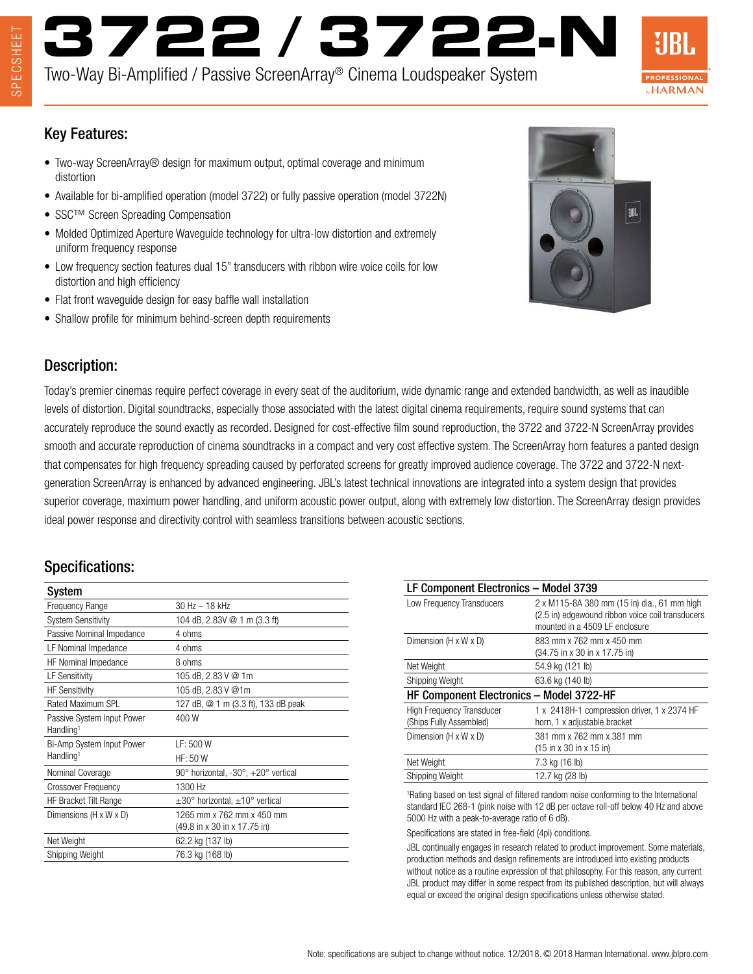# **3722 / 3722-N**

Two-Way Bi-Amplified / Passive ScreenArray® Cinema Loudspeaker System



#### Key Features:

- Two-way ScreenArray® design for maximum output, optimal coverage and minimum distortion
- Available for bi-amplified operation (model 3722) or fully passive operation (model 3722N)
- SSC™ Screen Spreading Compensation
- Molded Optimized Aperture Waveguide technology for ultra-low distortion and extremely uniform frequency response
- Low frequency section features dual 15" transducers with ribbon wire voice coils for low distortion and high efficiency
- Flat front waveguide design for easy baffle wall installation
- Shallow profile for minimum behind-screen depth requirements



## Description:

Today's premier cinemas require perfect coverage in every seat of the auditorium, wide dynamic range and extended bandwidth, as well as inaudible levels of distortion. Digital soundtracks, especially those associated with the latest digital cinema requirements, require sound systems that can accurately reproduce the sound exactly as recorded. Designed for cost-effective film sound reproduction, the 3722 and 3722-N ScreenArray provides smooth and accurate reproduction of cinema soundtracks in a compact and very cost effective system. The ScreenArray horn features a panted design that compensates for high frequency spreading caused by perforated screens for greatly improved audience coverage. The 3722 and 3722-N nextgeneration ScreenArray is enhanced by advanced engineering. JBL's latest technical innovations are integrated into a system design that provides superior coverage, maximum power handling, and uniform acoustic power output, along with extremely low distortion. The ScreenArray design provides ideal power response and directivity control with seamless transitions between acoustic sections.

#### Specifications:

| <b>System</b>                                       |                                                                 |
|-----------------------------------------------------|-----------------------------------------------------------------|
| <b>Frequency Range</b>                              | $30 Hz - 18 kHz$                                                |
| <b>System Sensitivity</b>                           | 104 dB, 2.83V @ 1 m (3.3 ft)                                    |
| Passive Nominal Impedance                           | 4 ohms                                                          |
| LF Nominal Impedance                                | 4 ohms                                                          |
| HF Nominal Impedance                                | 8 ohms                                                          |
| <b>LF Sensitivity</b>                               | 105 dB, 2.83 V @ 1m                                             |
| <b>HF Sensitivity</b>                               | 105 dB, 2.83 V @1m                                              |
| Rated Maximum SPL                                   | 127 dB, @ 1 m (3.3 ft), 133 dB peak                             |
| Passive System Input Power<br>Handling <sup>1</sup> | 400 W                                                           |
| Bi-Amp System Input Power                           | LF: 500 W                                                       |
| Handling <sup>1</sup>                               | HF: 50 W                                                        |
| Nominal Coverage                                    | $90^{\circ}$ horizontal, $-30^{\circ}$ , $+20^{\circ}$ vertical |
| <b>Crossover Frequency</b>                          | 1300 Hz                                                         |
| HF Bracket Tilt Range                               | $\pm 30^{\circ}$ horizontal, $\pm 10^{\circ}$ vertical          |
| Dimensions (H x W x D)                              | 1265 mm x 762 mm x 450 mm                                       |
|                                                     | (49.8 in x 30 in x 17.75 in)                                    |
| Net Weight                                          | 62.2 kg (137 lb)                                                |
| Shipping Weight                                     | 76.3 kg (168 lb)                                                |

| LF Component Electronics - Model 3739    |                                                     |  |
|------------------------------------------|-----------------------------------------------------|--|
| Low Frequency Transducers                | 2 x M115-8A 380 mm (15 in) dia., 61 mm high         |  |
|                                          | (2.5 in) edgewound ribbon voice coil transducers    |  |
|                                          | mounted in a 4509 LF enclosure                      |  |
| Dimension $(H \times W \times D)$        | 883 mm x 762 mm x 450 mm                            |  |
|                                          | (34.75 in x 30 in x 17.75 in)                       |  |
| Net Weight                               | 54.9 kg (121 lb)                                    |  |
| Shipping Weight                          | 63.6 kg (140 lb)                                    |  |
| HF Component Electronics - Model 3722-HF |                                                     |  |
| <b>High Frequency Transducer</b>         | 1 x 2418H-1 compression driver, 1 x 2374 HF         |  |
| (Ships Fully Assembled)                  | horn, 1 x adjustable bracket                        |  |
| Dimension (H x W x D)                    | 381 mm x 762 mm x 381 mm                            |  |
|                                          | $(15 \text{ in } x 30 \text{ in } x 15 \text{ in})$ |  |
| Net Weight                               | 7.3 kg (16 lb)                                      |  |
| Shipping Weight                          | 12.7 kg (28 lb)                                     |  |
|                                          |                                                     |  |

1 Rating based on test signal of filtered random noise conforming to the International standard IEC 268-1 (pink noise with 12 dB per octave roll-off below 40 Hz and above 5000 Hz with a peak-to-average ratio of 6 dB).

Specifications are stated in free-field (4pi) conditions.

JBL continually engages in research related to product improvement. Some materials, production methods and design refinements are introduced into existing products without notice as a routine expression of that philosophy. For this reason, any current JBL product may differ in some respect from its published description, but will always equal or exceed the original design specifications unless otherwise stated.